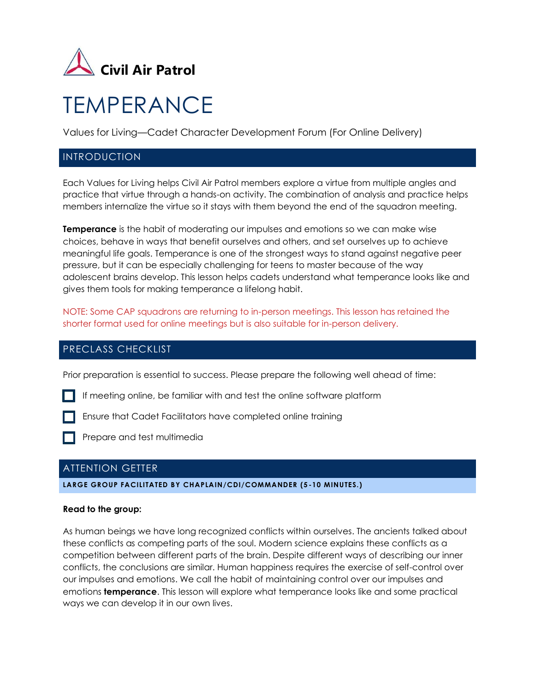

# **TEMPERANCE**

Values for Living—Cadet Character Development Forum (For Online Delivery)

# INTRODUCTION

Each Values for Living helps Civil Air Patrol members explore a virtue from multiple angles and practice that virtue through a hands-on activity. The combination of analysis and practice helps members internalize the virtue so it stays with them beyond the end of the squadron meeting.

**Temperance** is the habit of moderating our impulses and emotions so we can make wise choices, behave in ways that benefit ourselves and others, and set ourselves up to achieve meaningful life goals. Temperance is one of the strongest ways to stand against negative peer pressure, but it can be especially challenging for teens to master because of the way adolescent brains develop. This lesson helps cadets understand what temperance looks like and gives them tools for making temperance a lifelong habit.

NOTE: Some CAP squadrons are returning to in-person meetings. This lesson has retained the shorter format used for online meetings but is also suitable for in-person delivery.

## PRECLASS CHECKLIST

Prior preparation is essential to success. Please prepare the following well ahead of time:

If meeting online, be familiar with and test the online software platform

Ensure that Cadet Facilitators have completed online training

Prepare and test multimedia

# ATTENTION GETTER

#### **LARGE GROUP FACILITATED BY CHAPLAIN/CDI/COMMANDER (5 -10 MINUTES.)**

#### **Read to the group:**

As human beings we have long recognized conflicts within ourselves. The ancients talked about these conflicts as competing parts of the soul. Modern science explains these conflicts as a competition between different parts of the brain. Despite different ways of describing our inner conflicts, the conclusions are similar. Human happiness requires the exercise of self-control over our impulses and emotions. We call the habit of maintaining control over our impulses and emotions **temperance**. This lesson will explore what temperance looks like and some practical ways we can develop it in our own lives.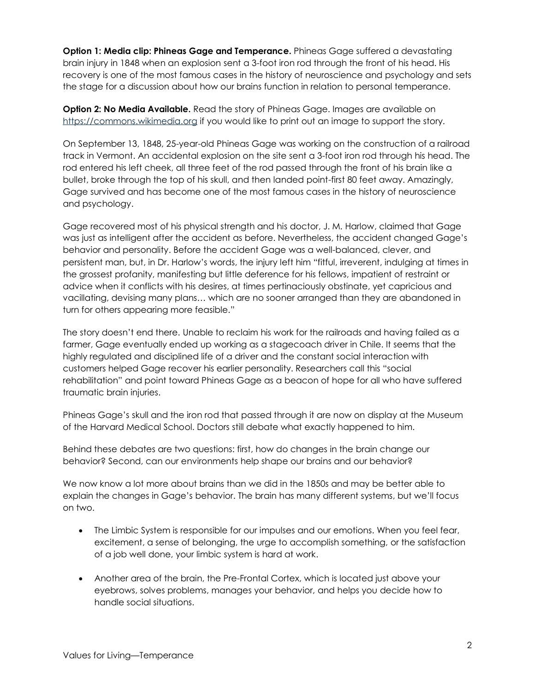**Option 1: Media clip: Phineas Gage and Temperance.** Phineas Gage suffered a devastating brain injury in 1848 when an explosion sent a 3-foot iron rod through the front of his head. His recovery is one of the most famous cases in the history of neuroscience and psychology and sets the stage for a discussion about how our brains function in relation to personal temperance.

**Option 2: No Media Available.** Read the story of Phineas Gage. Images are available on [https://commons.wikimedia.org](https://commons.wikimedia.org/) if you would like to print out an image to support the story.

On September 13, 1848, 25-year-old Phineas Gage was working on the construction of a railroad track in Vermont. An accidental explosion on the site sent a 3-foot iron rod through his head. The rod entered his left cheek, all three feet of the rod passed through the front of his brain like a bullet, broke through the top of his skull, and then landed point-first 80 feet away. Amazingly, Gage survived and has become one of the most famous cases in the history of neuroscience and psychology.

Gage recovered most of his physical strength and his doctor, J. M. Harlow, claimed that Gage was just as intelligent after the accident as before. Nevertheless, the accident changed Gage's behavior and personality. Before the accident Gage was a well-balanced, clever, and persistent man, but, in Dr. Harlow's words, the injury left him "fitful, irreverent, indulging at times in the grossest profanity, manifesting but little deference for his fellows, impatient of restraint or advice when it conflicts with his desires, at times pertinaciously obstinate, yet capricious and vacillating, devising many plans… which are no sooner arranged than they are abandoned in turn for others appearing more feasible."

The story doesn't end there. Unable to reclaim his work for the railroads and having failed as a farmer, Gage eventually ended up working as a stagecoach driver in Chile. It seems that the highly regulated and disciplined life of a driver and the constant social interaction with customers helped Gage recover his earlier personality. Researchers call this "social rehabilitation" and point toward Phineas Gage as a beacon of hope for all who have suffered traumatic brain injuries.

Phineas Gage's skull and the iron rod that passed through it are now on display at the Museum of the Harvard Medical School. Doctors still debate what exactly happened to him.

Behind these debates are two questions: first, how do changes in the brain change our behavior? Second, can our environments help shape our brains and our behavior?

We now know a lot more about brains than we did in the 1850s and may be better able to explain the changes in Gage's behavior. The brain has many different systems, but we'll focus on two.

- The Limbic System is responsible for our impulses and our emotions. When you feel fear, excitement, a sense of belonging, the urge to accomplish something, or the satisfaction of a job well done, your limbic system is hard at work.
- Another area of the brain, the Pre-Frontal Cortex, which is located just above your eyebrows, solves problems, manages your behavior, and helps you decide how to handle social situations.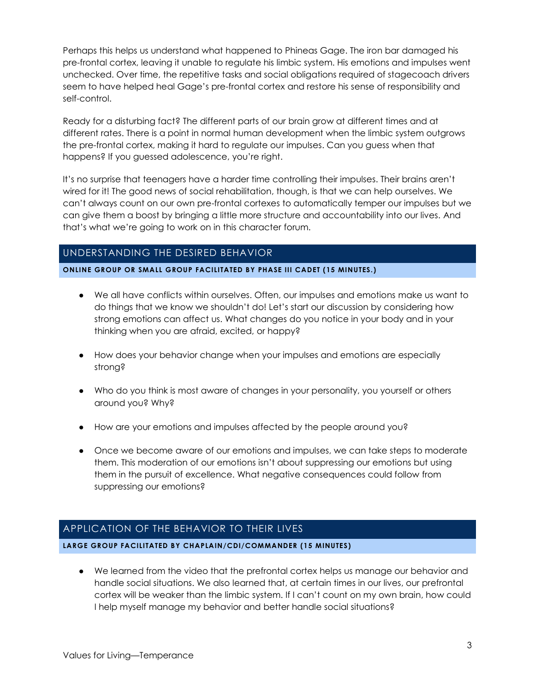Perhaps this helps us understand what happened to Phineas Gage. The iron bar damaged his pre-frontal cortex, leaving it unable to regulate his limbic system. His emotions and impulses went unchecked. Over time, the repetitive tasks and social obligations required of stagecoach drivers seem to have helped heal Gage's pre-frontal cortex and restore his sense of responsibility and self-control.

Ready for a disturbing fact? The different parts of our brain grow at different times and at different rates. There is a point in normal human development when the limbic system outgrows the pre-frontal cortex, making it hard to regulate our impulses. Can you guess when that happens? If you guessed adolescence, you're right.

It's no surprise that teenagers have a harder time controlling their impulses. Their brains aren't wired for it! The good news of social rehabilitation, though, is that we can help ourselves. We can't always count on our own pre-frontal cortexes to automatically temper our impulses but we can give them a boost by bringing a little more structure and accountability into our lives. And that's what we're going to work on in this character forum.

# UNDERSTANDING THE DESIRED BEHAVIOR

**ONLINE GROUP OR SMALL GROUP FACILITATED BY PHASE III CADET (15 MINUTES.)**

- We all have conflicts within ourselves. Often, our impulses and emotions make us want to do things that we know we shouldn't do! Let's start our discussion by considering how strong emotions can affect us. What changes do you notice in your body and in your thinking when you are afraid, excited, or happy?
- How does your behavior change when your impulses and emotions are especially strong?
- Who do you think is most aware of changes in your personality, you yourself or others around you? Why?
- How are your emotions and impulses affected by the people around you?
- Once we become aware of our emotions and impulses, we can take steps to moderate them. This moderation of our emotions isn't about suppressing our emotions but using them in the pursuit of excellence. What negative consequences could follow from suppressing our emotions?

## APPLICATION OF THE BEHAVIOR TO THEIR LIVES

**LARGE GROUP FACILITATED BY CHAPLAIN/CDI/COMMANDER (15 MINUTES)**

● We learned from the video that the prefrontal cortex helps us manage our behavior and handle social situations. We also learned that, at certain times in our lives, our prefrontal cortex will be weaker than the limbic system. If I can't count on my own brain, how could I help myself manage my behavior and better handle social situations?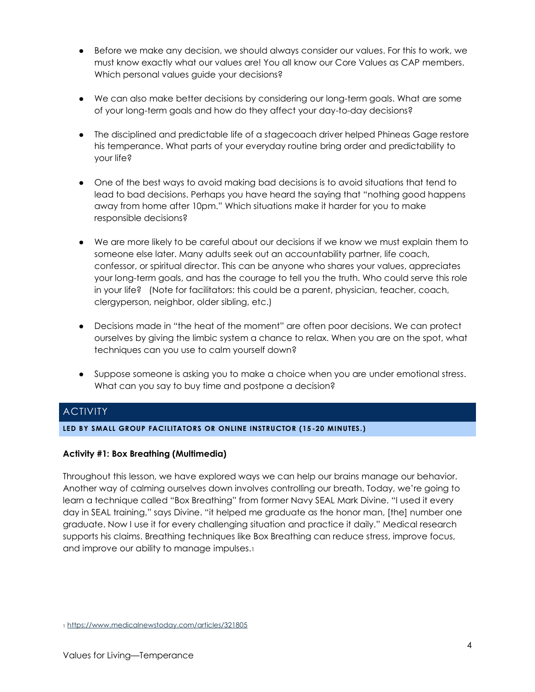- Before we make any decision, we should always consider our values. For this to work, we must know exactly what our values are! You all know our Core Values as CAP members. Which personal values guide your decisions?
- We can also make better decisions by considering our long-term goals. What are some of your long-term goals and how do they affect your day-to-day decisions?
- The disciplined and predictable life of a stagecoach driver helped Phineas Gage restore his temperance. What parts of your everyday routine bring order and predictability to your life?
- One of the best ways to avoid making bad decisions is to avoid situations that tend to lead to bad decisions. Perhaps you have heard the saying that "nothing good happens away from home after 10pm." Which situations make it harder for you to make responsible decisions?
- We are more likely to be careful about our decisions if we know we must explain them to someone else later. Many adults seek out an accountability partner, life coach, confessor, or spiritual director. This can be anyone who shares your values, appreciates your long-term goals, and has the courage to tell you the truth. Who could serve this role in your life? (Note for facilitators: this could be a parent, physician, teacher, coach, clergyperson, neighbor, older sibling, etc.)
- Decisions made in "the heat of the moment" are often poor decisions. We can protect ourselves by giving the limbic system a chance to relax. When you are on the spot, what techniques can you use to calm yourself down?
- Suppose someone is asking you to make a choice when you are under emotional stress. What can you say to buy time and postpone a decision?

# **ACTIVITY**

## **LED BY SMALL GROUP FACILITATORS OR ONLINE INSTRUCTOR (15 -20 MINUTES.)**

## **Activity #1: Box Breathing (Multimedia)**

Throughout this lesson, we have explored ways we can help our brains manage our behavior. Another way of calming ourselves down involves controlling our breath. Today, we're going to learn a technique called "Box Breathing" from former Navy SEAL Mark Divine. "I used it every day in SEAL training," says Divine. "it helped me graduate as the honor man, [the] number one graduate. Now I use it for every challenging situation and practice it daily." Medical research supports his claims. Breathing techniques like Box Breathing can reduce stress, improve focus, and improve our ability to manage impulses.<sup>1</sup>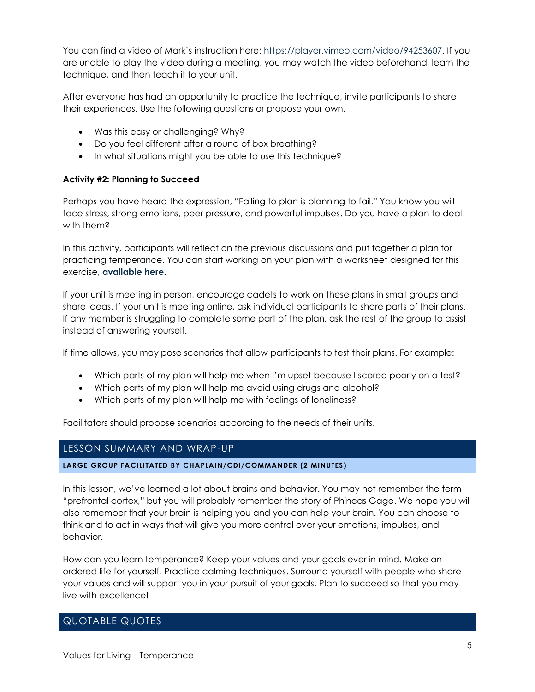You can find a video of Mark's instruction here: [https://player.vimeo.com/video/94253607.](https://player.vimeo.com/video/94253607) If you are unable to play the video during a meeting, you may watch the video beforehand, learn the technique, and then teach it to your unit.

After everyone has had an opportunity to practice the technique, invite participants to share their experiences. Use the following questions or propose your own.

- Was this easy or challenging? Why?
- Do you feel different after a round of box breathing?
- In what situations might you be able to use this technique?

#### **Activity #2: Planning to Succeed**

Perhaps you have heard the expression, "Failing to plan is planning to fail." You know you will face stress, strong emotions, peer pressure, and powerful impulses. Do you have a plan to deal with them?

In this activity, participants will reflect on the previous discussions and put together a plan for practicing temperance. You can start working on your plan with a worksheet designed for this exercise, **[available here.](https://capchaplain.com/downloads/Temperance-Student-Handout.pdf)**

If your unit is meeting in person, encourage cadets to work on these plans in small groups and share ideas. If your unit is meeting online, ask individual participants to share parts of their plans. If any member is struggling to complete some part of the plan, ask the rest of the group to assist instead of answering yourself.

If time allows, you may pose scenarios that allow participants to test their plans. For example:

- Which parts of my plan will help me when I'm upset because I scored poorly on a test?
- Which parts of my plan will help me avoid using drugs and alcohol?
- Which parts of my plan will help me with feelings of loneliness?

Facilitators should propose scenarios according to the needs of their units.

## LESSON SUMMARY AND WRAP-UP

#### **LARGE GROUP FACILITATED BY CHAPLAIN/CDI/COMMANDER (2 MINUTES)**

In this lesson, we've learned a lot about brains and behavior. You may not remember the term "prefrontal cortex," but you will probably remember the story of Phineas Gage. We hope you will also remember that your brain is helping you and you can help your brain. You can choose to think and to act in ways that will give you more control over your emotions, impulses, and behavior.

How can you learn temperance? Keep your values and your goals ever in mind. Make an ordered life for yourself. Practice calming techniques. Surround yourself with people who share your values and will support you in your pursuit of your goals. Plan to succeed so that you may live with excellence!

## QUOTABLE QUOTES